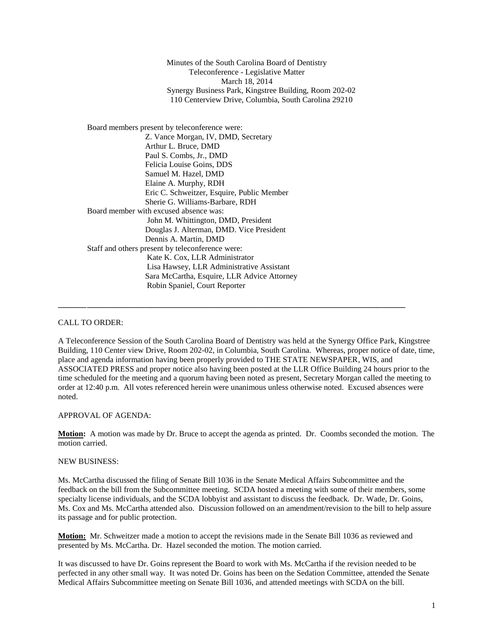Minutes of the South Carolina Board of Dentistry Teleconference - Legislative Matter March 18, 2014 Synergy Business Park, Kingstree Building, Room 202-02 110 Centerview Drive, Columbia, South Carolina 29210

Board members present by teleconference were: Z. Vance Morgan, IV, DMD, Secretary Arthur L. Bruce, DMD Paul S. Combs, Jr., DMD Felicia Louise Goins, DDS Samuel M. Hazel, DMD Elaine A. Murphy, RDH Eric C. Schweitzer, Esquire, Public Member Sherie G. Williams-Barbare, RDH Board member with excused absence was: John M. Whittington, DMD, President Douglas J. Alterman, DMD. Vice President Dennis A. Martin, DMD Staff and others present by teleconference were: Kate K. Cox, LLR Administrator Lisa Hawsey, LLR Administrative Assistant Sara McCartha, Esquire, LLR Advice Attorney Robin Spaniel, Court Reporter

## CALL TO ORDER:

A Teleconference Session of the South Carolina Board of Dentistry was held at the Synergy Office Park, Kingstree Building, 110 Center view Drive, Room 202-02, in Columbia, South Carolina. Whereas, proper notice of date, time, place and agenda information having been properly provided to THE STATE NEWSPAPER, WIS, and ASSOCIATED PRESS and proper notice also having been posted at the LLR Office Building 24 hours prior to the time scheduled for the meeting and a quorum having been noted as present, Secretary Morgan called the meeting to order at 12:40 p.m. All votes referenced herein were unanimous unless otherwise noted. Excused absences were noted.

**\_\_\_\_\_\_\_\_\_\_\_\_\_\_\_\_\_\_\_\_\_\_\_\_\_\_\_\_\_\_\_\_\_\_\_\_\_\_\_\_\_\_\_\_\_\_\_\_\_\_\_\_\_\_\_\_\_\_\_\_\_\_\_\_\_\_\_\_\_\_\_\_\_\_\_\_\_\_\_\_\_\_\_\_\_\_**

## APPROVAL OF AGENDA:

**Motion:** A motion was made by Dr. Bruce to accept the agenda as printed. Dr. Coombs seconded the motion. The motion carried.

## NEW BUSINESS:

Ms. McCartha discussed the filing of Senate Bill 1036 in the Senate Medical Affairs Subcommittee and the feedback on the bill from the Subcommittee meeting. SCDA hosted a meeting with some of their members, some specialty license individuals, and the SCDA lobbyist and assistant to discuss the feedback. Dr. Wade, Dr. Goins, Ms. Cox and Ms. McCartha attended also. Discussion followed on an amendment/revision to the bill to help assure its passage and for public protection.

**Motion:** Mr. Schweitzer made a motion to accept the revisions made in the Senate Bill 1036 as reviewed and presented by Ms. McCartha. Dr. Hazel seconded the motion. The motion carried.

It was discussed to have Dr. Goins represent the Board to work with Ms. McCartha if the revision needed to be perfected in any other small way. It was noted Dr. Goins has been on the Sedation Committee, attended the Senate Medical Affairs Subcommittee meeting on Senate Bill 1036, and attended meetings with SCDA on the bill.